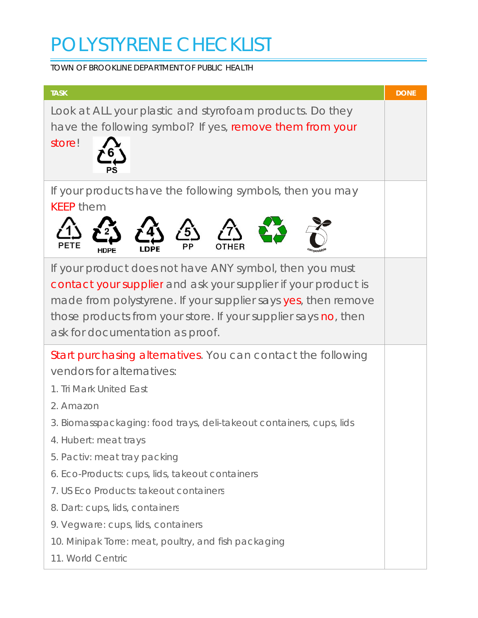# POLYSTYRENE CHECKLIST

TOWN OF BROOKLINE DEPARTMENT OF PUBLIC HEALTH

| <b>TASK</b>                                                                                                                                                                                                                                                                                                                                                                                                                                                                                                                  | <b>DONE</b> |
|------------------------------------------------------------------------------------------------------------------------------------------------------------------------------------------------------------------------------------------------------------------------------------------------------------------------------------------------------------------------------------------------------------------------------------------------------------------------------------------------------------------------------|-------------|
| Look at ALL your plastic and styrofoam products. Do they<br>have the following symbol? If yes, remove them from your<br>store!                                                                                                                                                                                                                                                                                                                                                                                               |             |
| If your products have the following symbols, then you may<br><b>KEEP them</b>                                                                                                                                                                                                                                                                                                                                                                                                                                                |             |
| If your product does not have ANY symbol, then you must<br>contact your supplier and ask your supplier if your product is<br>made from polystyrene. If your supplier says yes, then remove<br>those products from your store. If your supplier says no, then<br>ask for documentation as proof.                                                                                                                                                                                                                              |             |
| Start purchasing alternatives. You can contact the following<br>vendors for alternatives:<br>1. Tri Mark United East<br>2. Amazon<br>3. Biomasspackaging: food trays, deli-takeout containers, cups, lids<br>4. Hubert: <i>meat trays</i><br>5. Pactiv: meat tray packing<br>6. Eco-Products: cups, lids, takeout containers<br>7. US Eco Products: takeout containers<br>8. Dart: cups, lids, containers<br>9. Vegware: cups, lids, containers<br>10. Minipak Torre: meat, poultry, and fish packaging<br>11. World Centric |             |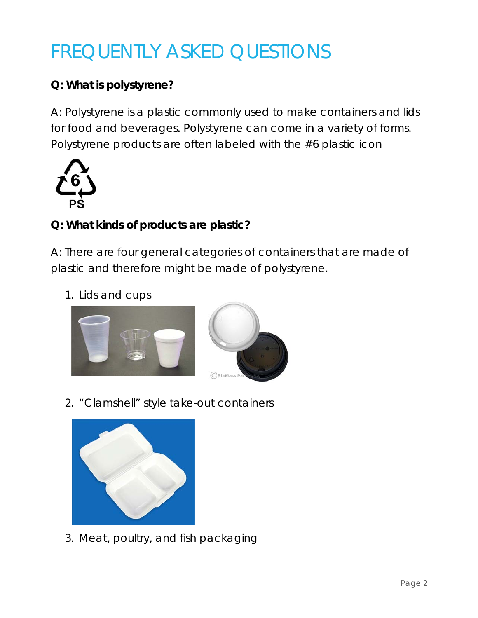## **FREQUENTLY ASKED QUESTIONS**

## Q: What is polystyrene?

A: Polystyrene is a plastic commonly used to make containers and lids for food and beverages. Polystyrene can come in a variety of forms. Polystyrene products are often labeled with the #6 plastic icon



### Q: What kinds of products are plastic?

A: There are four general categories of containers that are made of plastic and therefore might be made of polystyrene.

1. Lids and cups



2. "Clamshell" style take-out containers



3. Meat, poultry, and fish packaging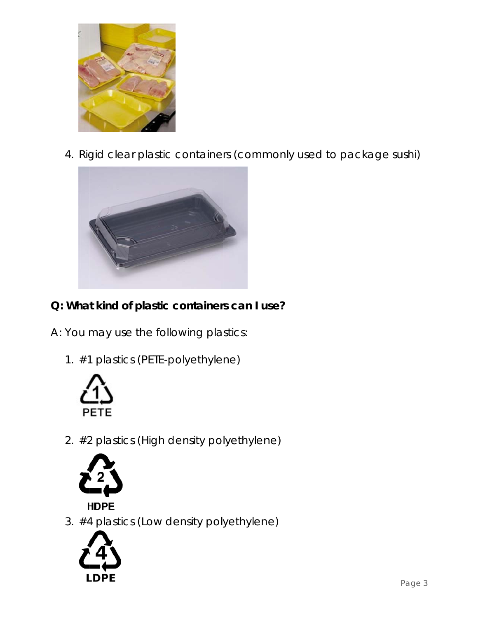

4. Rigid clear plastic containers (commonly used to package sushi)



- Q: What kind of plastic containers can I use?
- A: You may use the following plastics:
	- 1. #1 plastics (PETE-polyethylene)



2. #2 plastics (High density polyethylene)



## **HDPE**

3. #4 plastics (Low density polyethylene)

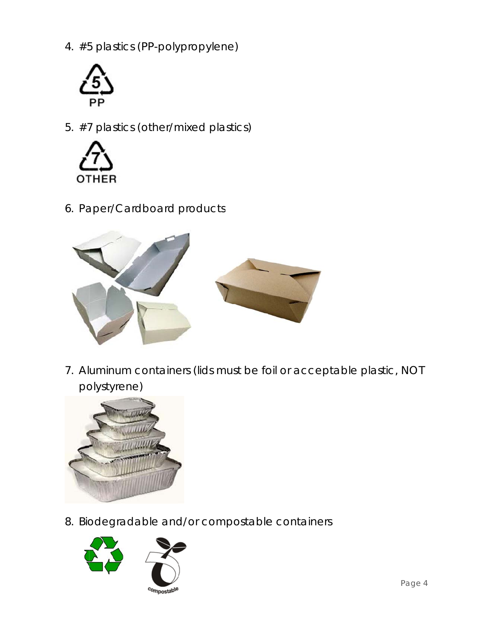4. #5 plastics (PP-polypropylene)



5. #7 plastics (other/mixed plastics)



6. Paper/Cardboard products



7. Aluminum containers (lids must be foil or acceptable plastic, NOT polystyrene)



8. Biodegradable and/or compostable containers